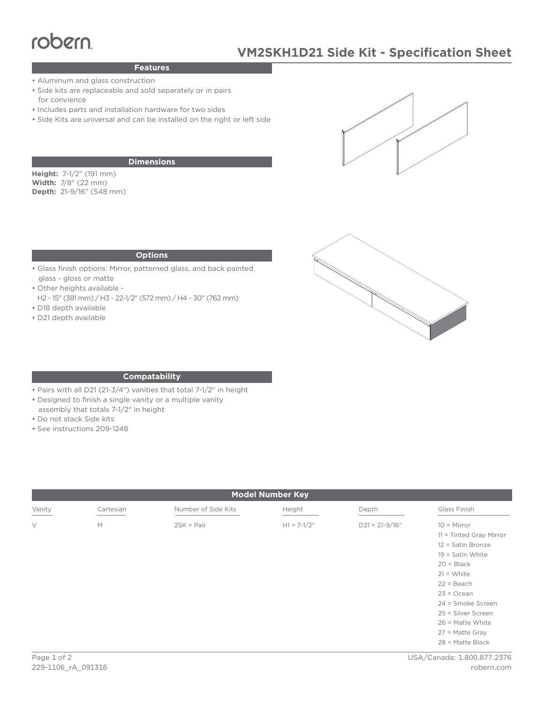# Features

# **Features**

- Aluminum and glass construction
- Side kits are replaceable and sold separately or in pairs for convience
- Includes parts and installation hardware for two sides
- Side Kits are universal and can be installed on the right or left side

### **Dimensions**

**Height:** 7-1/2" (191 mm) **Width:** 7/8" (22 mm) **Depth:** 21-9/16" (548 mm)

### **Options**

- Glass finish options: Mirror, patterned glass, and back painted glass - gloss or matte
- Other heights available -
- H2 15" (381 mm) / H3 22-1/2" (572 mm) / H4 30" (762 mm) • D18 depth available
- 
- D21 depth available





### **Compatability**

- Pairs with all D21 (21-3/4") vanities that total 7-1/2" in height
- Designed to finish a single vanity or a multiple vanity
- assembly that totals 7-1/2" in height
- Do not stack Side kits
- See instructions 209-1248

| <b>Model Number Key</b> |           |                     |               |                    |                                                                                                                                          |
|-------------------------|-----------|---------------------|---------------|--------------------|------------------------------------------------------------------------------------------------------------------------------------------|
| Vanity                  | Cartesian | Number of Side Kits | Height        | Depth              | Glass Finish                                                                                                                             |
| $\vee$                  | M         | $2SK = Pair$        | $H1 = 7-1/2"$ | $D21 = 21 - 9/16"$ | $10 =$ Mirror<br>11 = Tinted Gray Mirror<br>12 = Satin Bronze<br>$19 =$ Satin White<br>$20 = Black$<br>$21 = White$                      |
|                         |           |                     |               |                    | $22 = Beach$<br>$23 = Ocean$<br>24 = Smoke Screen<br>25 = Silver Screen<br>$26$ = Matte White<br>$27$ = Matte Gray<br>$28$ = Matte Black |